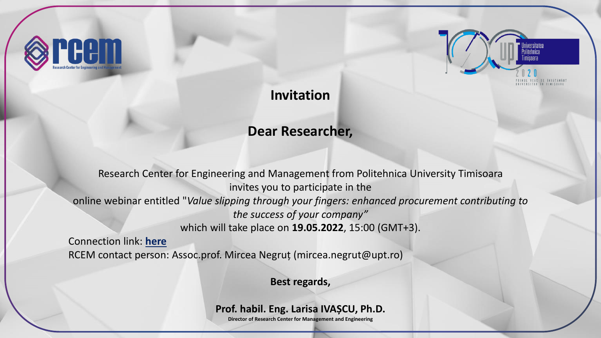



## **Invitation**

# **Dear Researcher,**

Research Center for Engineering and Management from Politehnica University Timisoara invites you to participate in the online webinar entitled "*Value slipping through your fingers: enhanced procurement contributing to the success of your company"* which will take place on **19.05.2022**, 15:00 (GMT+3).

Connection link: **[here](https://zoom.us/webinar/register/3616516502582/WN_0Wf5mir6QwSKvAwBBWZodw)** RCEM contact person: Assoc.prof. Mircea Negruț (mircea.negrut@upt.ro)

**Best regards,**

### **Prof. habil. Eng. Larisa IVAȘCU, Ph.D.**

**Director of Research Center for Management and Engineering**